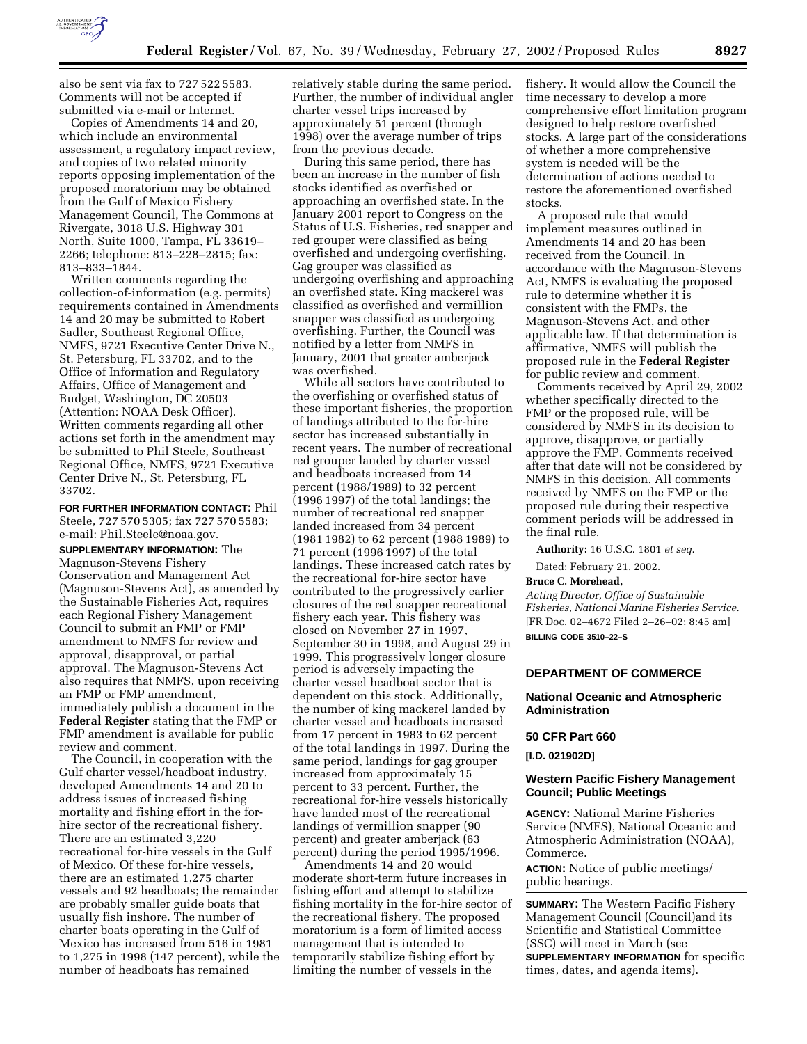

also be sent via fax to 727 522 5583. Comments will not be accepted if submitted via e-mail or Internet.

Copies of Amendments 14 and 20, which include an environmental assessment, a regulatory impact review, and copies of two related minority reports opposing implementation of the proposed moratorium may be obtained from the Gulf of Mexico Fishery Management Council, The Commons at Rivergate, 3018 U.S. Highway 301 North, Suite 1000, Tampa, FL 33619– 2266; telephone: 813–228–2815; fax: 813–833–1844.

Written comments regarding the collection-of-information (e.g. permits) requirements contained in Amendments 14 and 20 may be submitted to Robert Sadler, Southeast Regional Office, NMFS, 9721 Executive Center Drive N., St. Petersburg, FL 33702, and to the Office of Information and Regulatory Affairs, Office of Management and Budget, Washington, DC 20503 (Attention: NOAA Desk Officer). Written comments regarding all other actions set forth in the amendment may be submitted to Phil Steele, Southeast Regional Office, NMFS, 9721 Executive Center Drive N., St. Petersburg, FL 33702.

**FOR FURTHER INFORMATION CONTACT:** Phil Steele, 727 570 5305; fax 727 570 5583; e-mail: Phil.Steele@noaa.gov.

**SUPPLEMENTARY INFORMATION:** The Magnuson-Stevens Fishery Conservation and Management Act (Magnuson-Stevens Act), as amended by the Sustainable Fisheries Act, requires each Regional Fishery Management Council to submit an FMP or FMP amendment to NMFS for review and approval, disapproval, or partial approval. The Magnuson-Stevens Act also requires that NMFS, upon receiving an FMP or FMP amendment, immediately publish a document in the **Federal Register** stating that the FMP or FMP amendment is available for public review and comment.

The Council, in cooperation with the Gulf charter vessel/headboat industry, developed Amendments 14 and 20 to address issues of increased fishing mortality and fishing effort in the forhire sector of the recreational fishery. There are an estimated 3,220 recreational for-hire vessels in the Gulf of Mexico. Of these for-hire vessels, there are an estimated 1,275 charter vessels and 92 headboats; the remainder are probably smaller guide boats that usually fish inshore. The number of charter boats operating in the Gulf of Mexico has increased from 516 in 1981 to 1,275 in 1998 (147 percent), while the number of headboats has remained

relatively stable during the same period. Further, the number of individual angler charter vessel trips increased by approximately 51 percent (through 1998) over the average number of trips from the previous decade.

During this same period, there has been an increase in the number of fish stocks identified as overfished or approaching an overfished state. In the January 2001 report to Congress on the Status of U.S. Fisheries, red snapper and red grouper were classified as being overfished and undergoing overfishing. Gag grouper was classified as undergoing overfishing and approaching an overfished state. King mackerel was classified as overfished and vermillion snapper was classified as undergoing overfishing. Further, the Council was notified by a letter from NMFS in January, 2001 that greater amberjack was overfished.

While all sectors have contributed to the overfishing or overfished status of these important fisheries, the proportion of landings attributed to the for-hire sector has increased substantially in recent years. The number of recreational red grouper landed by charter vessel and headboats increased from 14 percent (1988/1989) to 32 percent (1996 1997) of the total landings; the number of recreational red snapper landed increased from 34 percent (1981 1982) to 62 percent (1988 1989) to 71 percent (1996 1997) of the total landings. These increased catch rates by the recreational for-hire sector have contributed to the progressively earlier closures of the red snapper recreational fishery each year. This fishery was closed on November 27 in 1997, September 30 in 1998, and August 29 in 1999. This progressively longer closure period is adversely impacting the charter vessel headboat sector that is dependent on this stock. Additionally, the number of king mackerel landed by charter vessel and headboats increased from 17 percent in 1983 to 62 percent of the total landings in 1997. During the same period, landings for gag grouper increased from approximately 15 percent to 33 percent. Further, the recreational for-hire vessels historically have landed most of the recreational landings of vermillion snapper (90 percent) and greater amberjack (63 percent) during the period 1995/1996.

Amendments 14 and 20 would moderate short-term future increases in fishing effort and attempt to stabilize fishing mortality in the for-hire sector of the recreational fishery. The proposed moratorium is a form of limited access management that is intended to temporarily stabilize fishing effort by limiting the number of vessels in the

fishery. It would allow the Council the time necessary to develop a more comprehensive effort limitation program designed to help restore overfished stocks. A large part of the considerations of whether a more comprehensive system is needed will be the determination of actions needed to restore the aforementioned overfished stocks.

A proposed rule that would implement measures outlined in Amendments 14 and 20 has been received from the Council. In accordance with the Magnuson-Stevens Act, NMFS is evaluating the proposed rule to determine whether it is consistent with the FMPs, the Magnuson-Stevens Act, and other applicable law. If that determination is affirmative, NMFS will publish the proposed rule in the **Federal Register** for public review and comment.

Comments received by April 29, 2002 whether specifically directed to the FMP or the proposed rule, will be considered by NMFS in its decision to approve, disapprove, or partially approve the FMP. Comments received after that date will not be considered by NMFS in this decision. All comments received by NMFS on the FMP or the proposed rule during their respective comment periods will be addressed in the final rule.

**Authority:** 16 U.S.C. 1801 *et seq*.

Dated: February 21, 2002.

#### **Bruce C. Morehead,**

*Acting Director, Office of Sustainable Fisheries, National Marine Fisheries Service.* [FR Doc. 02–4672 Filed 2–26–02; 8:45 am] **BILLING CODE 3510–22–S**

# **DEPARTMENT OF COMMERCE**

## **National Oceanic and Atmospheric Administration**

#### **50 CFR Part 660**

**[I.D. 021902D]**

## **Western Pacific Fishery Management Council; Public Meetings**

**AGENCY:** National Marine Fisheries Service (NMFS), National Oceanic and Atmospheric Administration (NOAA), Commerce.

**ACTION:** Notice of public meetings/ public hearings.

**SUMMARY:** The Western Pacific Fishery Management Council (Council)and its Scientific and Statistical Committee (SSC) will meet in March (see **SUPPLEMENTARY INFORMATION** for specific times, dates, and agenda items).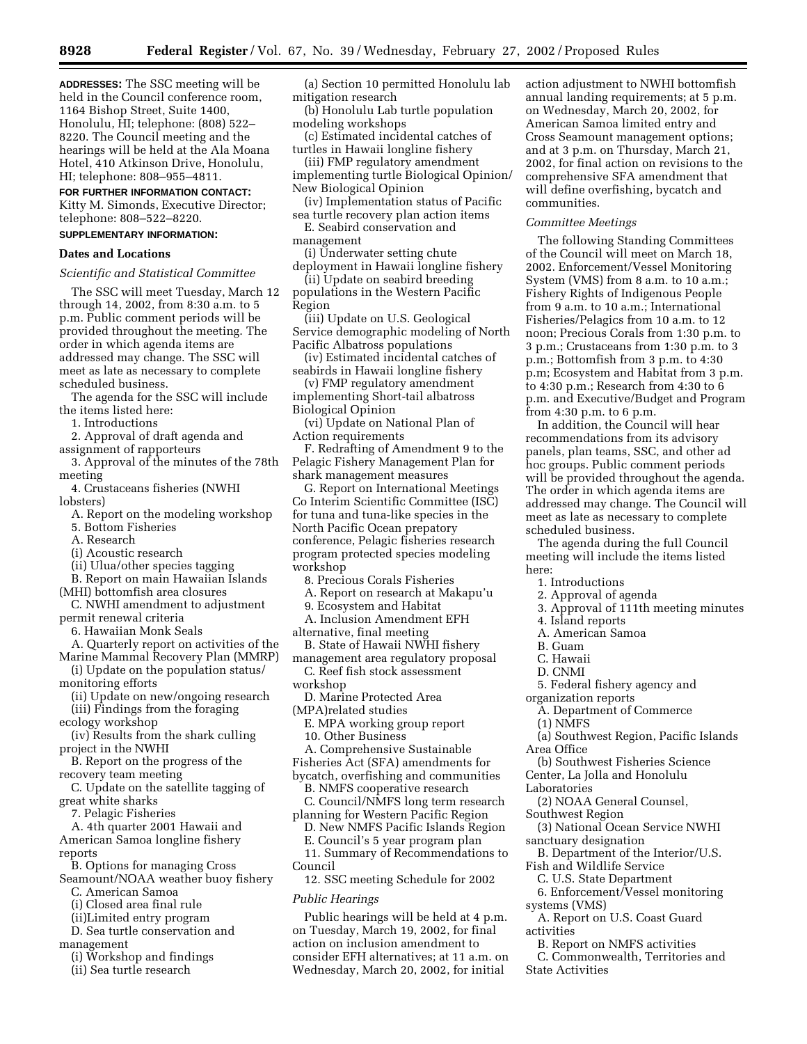**ADDRESSES:** The SSC meeting will be held in the Council conference room, 1164 Bishop Street, Suite 1400, Honolulu, HI; telephone: (808) 522– 8220. The Council meeting and the hearings will be held at the Ala Moana Hotel, 410 Atkinson Drive, Honolulu, HI; telephone: 808–955–4811.

#### **FOR FURTHER INFORMATION CONTACT:**

Kitty M. Simonds, Executive Director; telephone: 808–522–8220.

## **SUPPLEMENTARY INFORMATION:**

### **Dates and Locations**

*Scientific and Statistical Committee*

The SSC will meet Tuesday, March 12 through 14, 2002, from 8:30 a.m. to 5 p.m. Public comment periods will be provided throughout the meeting. The order in which agenda items are addressed may change. The SSC will meet as late as necessary to complete scheduled business.

The agenda for the SSC will include the items listed here:

1. Introductions

- 2. Approval of draft agenda and assignment of rapporteurs
- 3. Approval of the minutes of the 78th meeting

4. Crustaceans fisheries (NWHI lobsters)

- A. Report on the modeling workshop
- 5. Bottom Fisheries
- A. Research
- (i) Acoustic research
- (ii) Ulua/other species tagging

B. Report on main Hawaiian Islands (MHI) bottomfish area closures

C. NWHI amendment to adjustment permit renewal criteria

6. Hawaiian Monk Seals

A. Quarterly report on activities of the

Marine Mammal Recovery Plan (MMRP) (i) Update on the population status/

monitoring efforts

(ii) Update on new/ongoing research

- (iii) Findings from the foraging ecology workshop
- (iv) Results from the shark culling project in the NWHI
- B. Report on the progress of the recovery team meeting
- C. Update on the satellite tagging of great white sharks
- 7. Pelagic Fisheries

A. 4th quarter 2001 Hawaii and American Samoa longline fishery reports

B. Options for managing Cross

Seamount/NOAA weather buoy fishery C. American Samoa

- (i) Closed area final rule
- (ii)Limited entry program
- D. Sea turtle conservation and
- management
	- (i) Workshop and findings
	- (ii) Sea turtle research

(a) Section 10 permitted Honolulu lab mitigation research

- (b) Honolulu Lab turtle population modeling workshops
- (c) Estimated incidental catches of turtles in Hawaii longline fishery

(iii) FMP regulatory amendment implementing turtle Biological Opinion/ New Biological Opinion

- (iv) Implementation status of Pacific sea turtle recovery plan action items
- E. Seabird conservation and management
- (i) Underwater setting chute
- deployment in Hawaii longline fishery (ii) Update on seabird breeding
- populations in the Western Pacific Region

(iii) Update on U.S. Geological Service demographic modeling of North Pacific Albatross populations

(iv) Estimated incidental catches of seabirds in Hawaii longline fishery

(v) FMP regulatory amendment implementing Short-tail albatross Biological Opinion

(vi) Update on National Plan of Action requirements

F. Redrafting of Amendment 9 to the Pelagic Fishery Management Plan for shark management measures

G. Report on International Meetings Co Interim Scientific Committee (ISC) for tuna and tuna-like species in the North Pacific Ocean prepatory conference, Pelagic fisheries research program protected species modeling workshop

- 8. Precious Corals Fisheries
- A. Report on research at Makapu'u
- 9. Ecosystem and Habitat
- A. Inclusion Amendment EFH

alternative, final meeting

- B. State of Hawaii NWHI fishery management area regulatory proposal C. Reef fish stock assessment
- workshop
- D. Marine Protected Area
- (MPA)related studies

E. MPA working group report 10. Other Business

- A. Comprehensive Sustainable
- Fisheries Act (SFA) amendments for
- bycatch, overfishing and communities B. NMFS cooperative research
- C. Council/NMFS long term research planning for Western Pacific Region
- D. New NMFS Pacific Islands Region
- E. Council's 5 year program plan 11. Summary of Recommendations to
- Council

12. SSC meeting Schedule for 2002

## *Public Hearings*

Public hearings will be held at 4 p.m. on Tuesday, March 19, 2002, for final action on inclusion amendment to consider EFH alternatives; at 11 a.m. on Wednesday, March 20, 2002, for initial

action adjustment to NWHI bottomfish annual landing requirements; at 5 p.m. on Wednesday, March 20, 2002, for American Samoa limited entry and Cross Seamount management options; and at 3 p.m. on Thursday, March 21, 2002, for final action on revisions to the comprehensive SFA amendment that will define overfishing, bycatch and communities.

#### *Committee Meetings*

The following Standing Committees of the Council will meet on March 18, 2002. Enforcement/Vessel Monitoring System (VMS) from 8 a.m. to 10 a.m.; Fishery Rights of Indigenous People from 9 a.m. to 10 a.m.; International Fisheries/Pelagics from 10 a.m. to 12 noon; Precious Corals from 1:30 p.m. to 3 p.m.; Crustaceans from 1:30 p.m. to 3 p.m.; Bottomfish from 3 p.m. to 4:30 p.m; Ecosystem and Habitat from 3 p.m. to 4:30 p.m.; Research from 4:30 to 6 p.m. and Executive/Budget and Program from 4:30 p.m. to 6 p.m.

In addition, the Council will hear recommendations from its advisory panels, plan teams, SSC, and other ad hoc groups. Public comment periods will be provided throughout the agenda. The order in which agenda items are addressed may change. The Council will meet as late as necessary to complete scheduled business.

The agenda during the full Council meeting will include the items listed here:

- 1. Introductions
- 2. Approval of agenda
- 3. Approval of 111th meeting minutes
- 4. Island reports
- A. American Samoa
- B. Guam
- C. Hawaii
- D. CNMI
- 5. Federal fishery agency and
- organization reports
- A. Department of Commerce (1) NMFS
- 
- (a) Southwest Region, Pacific Islands Area Office
- (b) Southwest Fisheries Science Center, La Jolla and Honolulu
- Laboratories

activities

State Activities

- (2) NOAA General Counsel,
- Southwest Region
- (3) National Ocean Service NWHI sanctuary designation
- B. Department of the Interior/U.S. Fish and Wildlife Service
	- C. U.S. State Department
- 6. Enforcement/Vessel monitoring systems (VMS) A. Report on U.S. Coast Guard

B. Report on NMFS activities C. Commonwealth, Territories and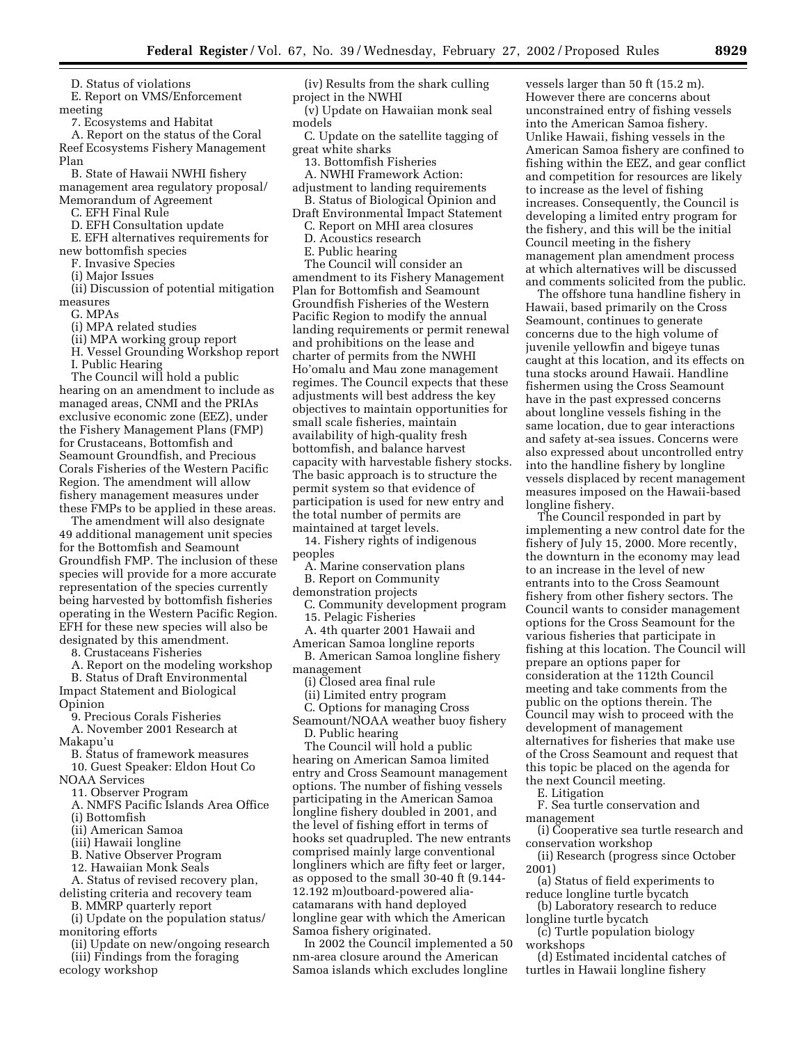D. Status of violations

E. Report on VMS/Enforcement meeting

7. Ecosystems and Habitat

A. Report on the status of the Coral Reef Ecosystems Fishery Management Plan

B. State of Hawaii NWHI fishery management area regulatory proposal/ Memorandum of Agreement

C. EFH Final Rule

D. EFH Consultation update

E. EFH alternatives requirements for new bottomfish species

F. Invasive Species

(i) Major Issues

(ii) Discussion of potential mitigation measures

G. MPAs

(i) MPA related studies

- (ii) MPA working group report
- H. Vessel Grounding Workshop report

I. Public Hearing

The Council will hold a public hearing on an amendment to include as managed areas, CNMI and the PRIAs exclusive economic zone (EEZ), under the Fishery Management Plans (FMP) for Crustaceans, Bottomfish and Seamount Groundfish, and Precious Corals Fisheries of the Western Pacific Region. The amendment will allow fishery management measures under these FMPs to be applied in these areas.

The amendment will also designate 49 additional management unit species for the Bottomfish and Seamount Groundfish FMP. The inclusion of these species will provide for a more accurate representation of the species currently being harvested by bottomfish fisheries operating in the Western Pacific Region. EFH for these new species will also be designated by this amendment.

8. Crustaceans Fisheries

A. Report on the modeling workshop B. Status of Draft Environmental

Impact Statement and Biological Opinion

9. Precious Corals Fisheries

A. November 2001 Research at Makapu'u

B. Status of framework measures 10. Guest Speaker: Eldon Hout Co

NOAA Services

11. Observer Program

A. NMFS Pacific Islands Area Office

(i) Bottomfish

(ii) American Samoa

(iii) Hawaii longline

B. Native Observer Program

12. Hawaiian Monk Seals

A. Status of revised recovery plan, delisting criteria and recovery team

B. MMRP quarterly report (i) Update on the population status/

monitoring efforts

(ii) Update on new/ongoing research (iii) Findings from the foraging ecology workshop

(iv) Results from the shark culling project in the NWHI

(v) Update on Hawaiian monk seal models

C. Update on the satellite tagging of great white sharks

13. Bottomfish Fisheries

A. NWHI Framework Action: adjustment to landing requirements

B. Status of Biological Opinion and

Draft Environmental Impact Statement C. Report on MHI area closures

D. Acoustics research E. Public hearing

The Council will consider an amendment to its Fishery Management Plan for Bottomfish and Seamount Groundfish Fisheries of the Western Pacific Region to modify the annual landing requirements or permit renewal and prohibitions on the lease and charter of permits from the NWHI Ho'omalu and Mau zone management regimes. The Council expects that these adjustments will best address the key objectives to maintain opportunities for small scale fisheries, maintain availability of high-quality fresh bottomfish, and balance harvest capacity with harvestable fishery stocks. The basic approach is to structure the permit system so that evidence of participation is used for new entry and the total number of permits are maintained at target levels.

14. Fishery rights of indigenous peoples

A. Marine conservation plans

B. Report on Community

demonstration projects

C. Community development program 15. Pelagic Fisheries

A. 4th quarter 2001 Hawaii and American Samoa longline reports

B. American Samoa longline fishery management

(i) Closed area final rule

(ii) Limited entry program

C. Options for managing Cross Seamount/NOAA weather buoy fishery

D. Public hearing The Council will hold a public hearing on American Samoa limited entry and Cross Seamount management options. The number of fishing vessels participating in the American Samoa longline fishery doubled in 2001, and the level of fishing effort in terms of hooks set quadrupled. The new entrants comprised mainly large conventional longliners which are fifty feet or larger, as opposed to the small 30-40 ft (9.144- 12.192 m)outboard-powered aliacatamarans with hand deployed longline gear with which the American Samoa fishery originated.

In 2002 the Council implemented a 50 nm-area closure around the American Samoa islands which excludes longline

vessels larger than 50 ft (15.2 m). However there are concerns about unconstrained entry of fishing vessels into the American Samoa fishery. Unlike Hawaii, fishing vessels in the American Samoa fishery are confined to fishing within the EEZ, and gear conflict and competition for resources are likely to increase as the level of fishing increases. Consequently, the Council is developing a limited entry program for the fishery, and this will be the initial Council meeting in the fishery management plan amendment process at which alternatives will be discussed and comments solicited from the public.

The offshore tuna handline fishery in Hawaii, based primarily on the Cross Seamount, continues to generate concerns due to the high volume of juvenile yellowfin and bigeye tunas caught at this location, and its effects on tuna stocks around Hawaii. Handline fishermen using the Cross Seamount have in the past expressed concerns about longline vessels fishing in the same location, due to gear interactions and safety at-sea issues. Concerns were also expressed about uncontrolled entry into the handline fishery by longline vessels displaced by recent management measures imposed on the Hawaii-based longline fishery.

The Council responded in part by implementing a new control date for the fishery of July 15, 2000. More recently, the downturn in the economy may lead to an increase in the level of new entrants into to the Cross Seamount fishery from other fishery sectors. The Council wants to consider management options for the Cross Seamount for the various fisheries that participate in fishing at this location. The Council will prepare an options paper for consideration at the 112th Council meeting and take comments from the public on the options therein. The Council may wish to proceed with the development of management alternatives for fisheries that make use of the Cross Seamount and request that this topic be placed on the agenda for the next Council meeting.

E. Litigation

F. Sea turtle conservation and management

(i) Cooperative sea turtle research and conservation workshop

(ii) Research (progress since October 2001)

(a) Status of field experiments to reduce longline turtle bycatch

(b) Laboratory research to reduce longline turtle bycatch

(c) Turtle population biology workshops

(d) Estimated incidental catches of turtles in Hawaii longline fishery